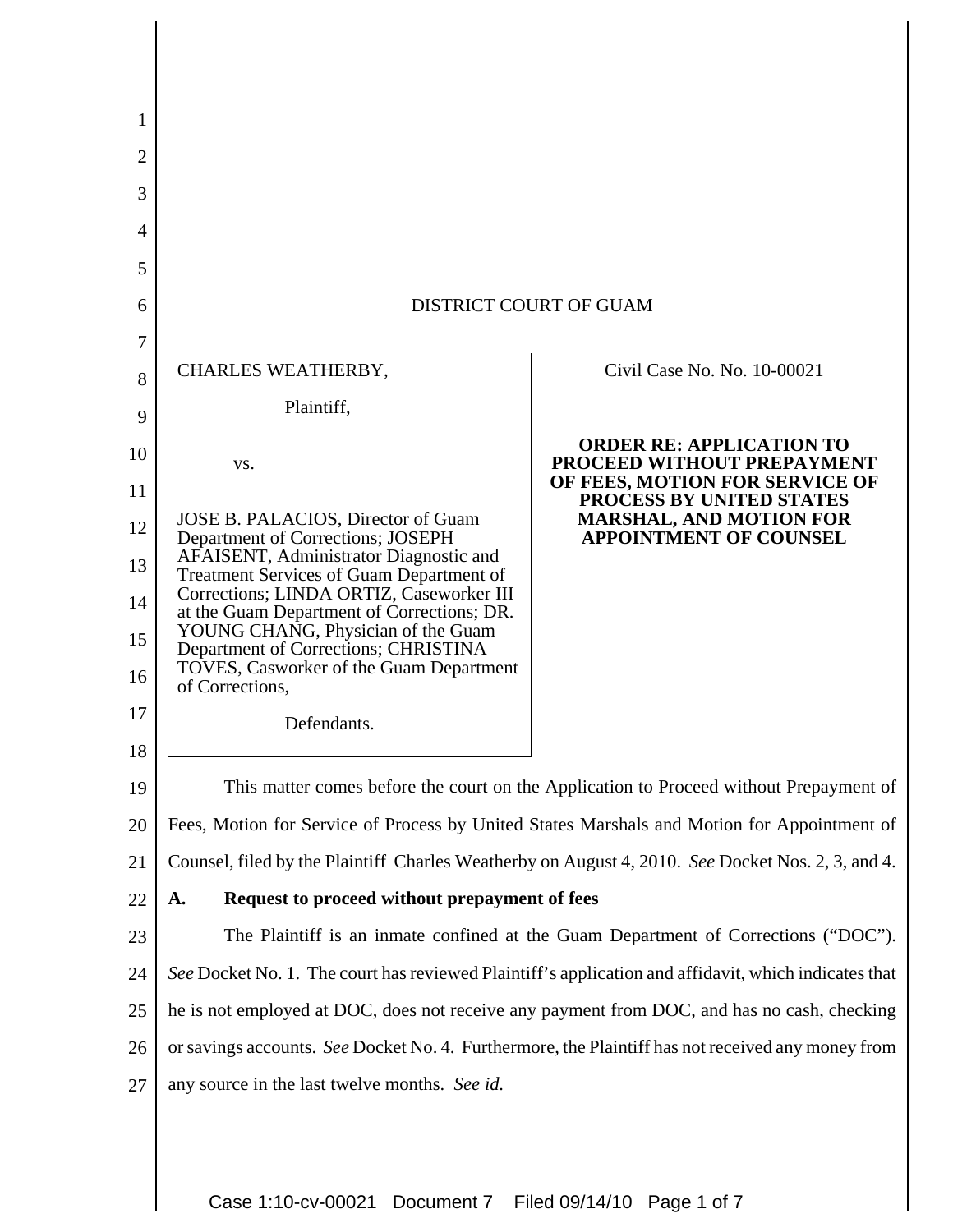| 2  |                                                                                                                                                                              |                                                                 |
|----|------------------------------------------------------------------------------------------------------------------------------------------------------------------------------|-----------------------------------------------------------------|
| 3  |                                                                                                                                                                              |                                                                 |
| 4  |                                                                                                                                                                              |                                                                 |
| 5  |                                                                                                                                                                              |                                                                 |
| 6  | DISTRICT COURT OF GUAM                                                                                                                                                       |                                                                 |
| 7  |                                                                                                                                                                              |                                                                 |
| 8  | CHARLES WEATHERBY,                                                                                                                                                           | Civil Case No. No. 10-00021                                     |
| 9  | Plaintiff,                                                                                                                                                                   |                                                                 |
| 10 | VS.                                                                                                                                                                          | <b>ORDER RE: APPLICATION TO</b><br>PROCEED WITHOUT PREPAYMENT   |
| 11 |                                                                                                                                                                              | OF FEES, MOTION FOR SERVICE OF<br>PROCESS BY UNITED STATES      |
| 12 | JOSE B. PALACIOS, Director of Guam<br>Department of Corrections; JOSEPH                                                                                                      | <b>MARSHAL, AND MOTION FOR</b><br><b>APPOINTMENT OF COUNSEL</b> |
| 13 | AFAISENT, Administrator Diagnostic and<br>Treatment Services of Guam Department of<br>Corrections; LINDA ORTIZ, Caseworker III<br>at the Guam Department of Corrections; DR. |                                                                 |
| 14 |                                                                                                                                                                              |                                                                 |
| 15 | YOUNG CHANG, Physician of the Guam<br>Department of Corrections; CHRISTINA                                                                                                   |                                                                 |
| 16 | TOVES, Casworker of the Guam Department<br>of Corrections,                                                                                                                   |                                                                 |
| 17 | Defendants.                                                                                                                                                                  |                                                                 |
| 18 |                                                                                                                                                                              |                                                                 |
| 19 | This matter comes before the court on the Application to Proceed without Prepayment of                                                                                       |                                                                 |
| 20 | Fees, Motion for Service of Process by United States Marshals and Motion for Appointment of                                                                                  |                                                                 |
| 21 | Counsel, filed by the Plaintiff Charles Weatherby on August 4, 2010. See Docket Nos. 2, 3, and 4.                                                                            |                                                                 |
| 22 | Request to proceed without prepayment of fees<br>A.                                                                                                                          |                                                                 |
| 23 | The Plaintiff is an inmate confined at the Guam Department of Corrections ("DOC").                                                                                           |                                                                 |
| 24 | See Docket No. 1. The court has reviewed Plaintiff's application and affidavit, which indicates that                                                                         |                                                                 |
| 25 | he is not employed at DOC, does not receive any payment from DOC, and has no cash, checking                                                                                  |                                                                 |
| 26 | or savings accounts. See Docket No. 4. Furthermore, the Plaintiff has not received any money from                                                                            |                                                                 |
| 27 | any source in the last twelve months. See id.                                                                                                                                |                                                                 |
|    |                                                                                                                                                                              |                                                                 |
|    |                                                                                                                                                                              |                                                                 |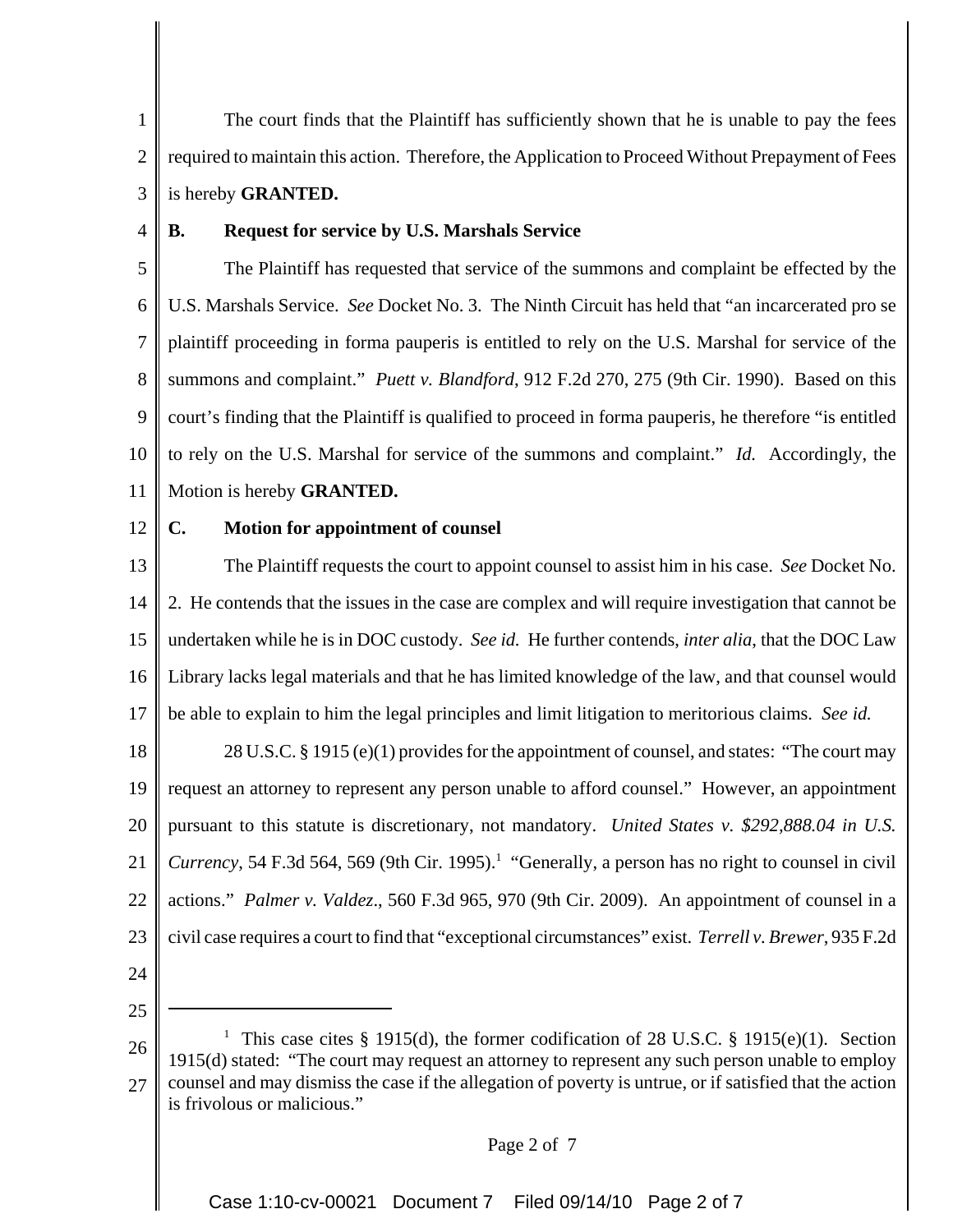1 2 3 The court finds that the Plaintiff has sufficiently shown that he is unable to pay the fees required to maintain this action. Therefore, the Application to Proceed Without Prepayment of Fees is hereby **GRANTED.**

4

## **B. Request for service by U.S. Marshals Service**

5 6 7 8 9 10 11 The Plaintiff has requested that service of the summons and complaint be effected by the U.S. Marshals Service. *See* Docket No. 3. The Ninth Circuit has held that "an incarcerated pro se plaintiff proceeding in forma pauperis is entitled to rely on the U.S. Marshal for service of the summons and complaint." *Puett v. Blandford*, 912 F.2d 270, 275 (9th Cir. 1990). Based on this court's finding that the Plaintiff is qualified to proceed in forma pauperis, he therefore "is entitled to rely on the U.S. Marshal for service of the summons and complaint." *Id.* Accordingly, the Motion is hereby **GRANTED.**

12

#### **C. Motion for appointment of counsel**

13 14 15 16 17 The Plaintiff requests the court to appoint counsel to assist him in his case. *See* Docket No. 2. He contends that the issues in the case are complex and will require investigation that cannot be undertaken while he is in DOC custody. *See id.* He further contends, *inter alia*, that the DOC Law Library lacks legal materials and that he has limited knowledge of the law, and that counsel would be able to explain to him the legal principles and limit litigation to meritorious claims. *See id.*

18 19 20 21 22 23 28 U.S.C. § 1915 (e)(1) provides for the appointment of counsel, and states: "The court may request an attorney to represent any person unable to afford counsel." However, an appointment pursuant to this statute is discretionary, not mandatory. *United States v. \$292,888.04 in U.S.* Currency, 54 F.3d 564, 569 (9th Cir. 1995).<sup>1</sup> "Generally, a person has no right to counsel in civil actions." *Palmer v. Valdez*., 560 F.3d 965, 970 (9th Cir. 2009). An appointment of counsel in a civil case requires a court to find that "exceptional circumstances" exist. *Terrell v. Brewer*, 935 F.2d

24

25

26 27 <sup>1</sup> This case cites § 1915(d), the former codification of 28 U.S.C. § 1915(e)(1). Section 1915(d) stated: "The court may request an attorney to represent any such person unable to employ counsel and may dismiss the case if the allegation of poverty is untrue, or if satisfied that the action is frivolous or malicious."

#### Page 2 of 7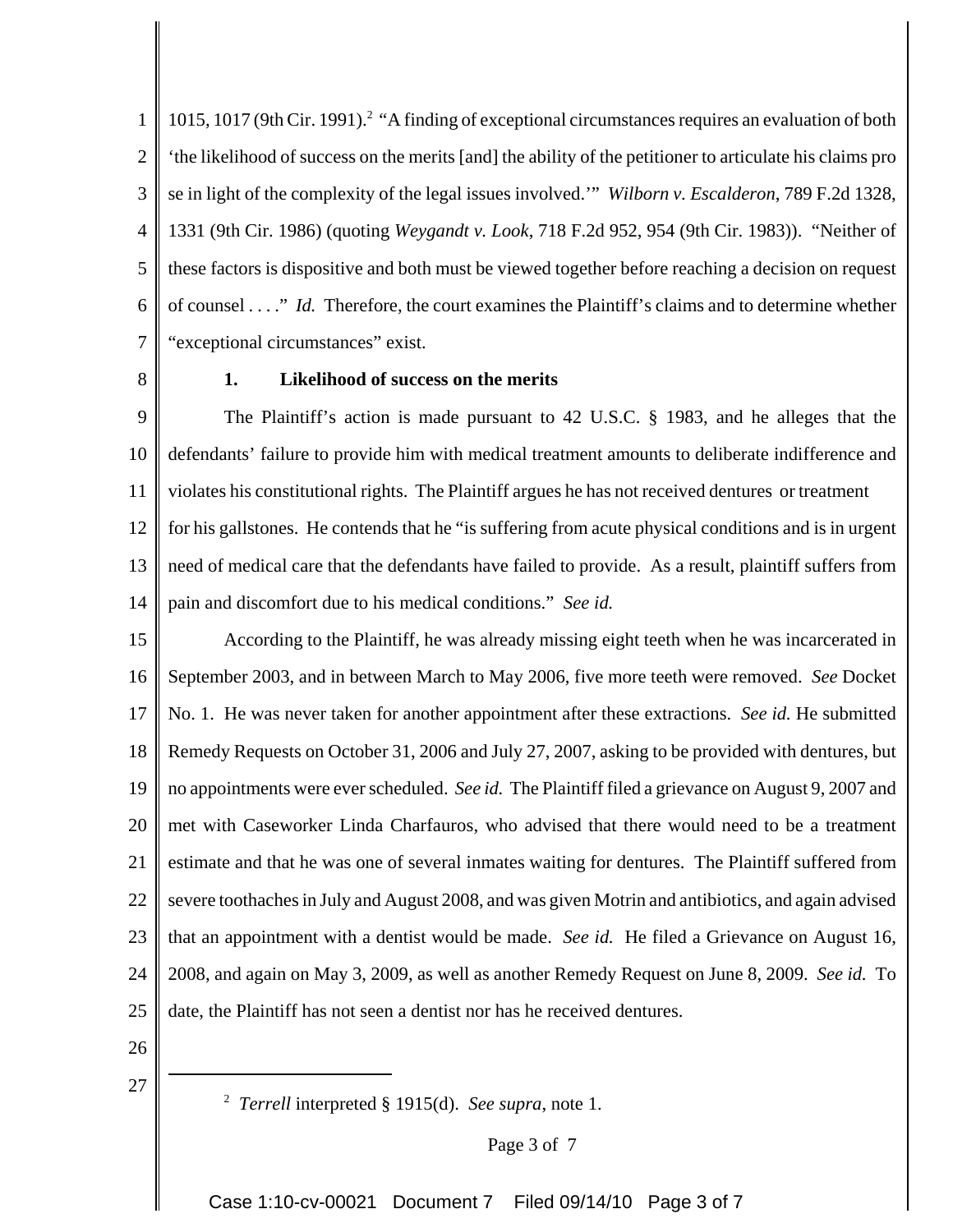1 2 3 4 5 6 7 1015, 1017 (9th Cir. 1991).<sup>2</sup> "A finding of exceptional circumstances requires an evaluation of both 'the likelihood of success on the merits [and] the ability of the petitioner to articulate his claims pro se in light of the complexity of the legal issues involved.'" *Wilborn v. Escalderon*, 789 F.2d 1328, 1331 (9th Cir. 1986) (quoting *Weygandt v. Look*, 718 F.2d 952, 954 (9th Cir. 1983)). "Neither of these factors is dispositive and both must be viewed together before reaching a decision on request of counsel . . . ." *Id.* Therefore, the court examines the Plaintiff's claims and to determine whether "exceptional circumstances" exist.

8

## **1. Likelihood of success on the merits**

9 10 11 12 13 14 The Plaintiff's action is made pursuant to 42 U.S.C. § 1983, and he alleges that the defendants' failure to provide him with medical treatment amounts to deliberate indifference and violates his constitutional rights. The Plaintiff argues he has not received dentures or treatment for his gallstones. He contends that he "is suffering from acute physical conditions and is in urgent need of medical care that the defendants have failed to provide. As a result, plaintiff suffers from pain and discomfort due to his medical conditions." *See id.*

15 16 17 18 19 20 21 22 23 24 25 According to the Plaintiff, he was already missing eight teeth when he was incarcerated in September 2003, and in between March to May 2006, five more teeth were removed. *See* Docket No. 1. He was never taken for another appointment after these extractions. *See id.* He submitted Remedy Requests on October 31, 2006 and July 27, 2007, asking to be provided with dentures, but no appointments were ever scheduled. *See id.* The Plaintiff filed a grievance on August 9, 2007 and met with Caseworker Linda Charfauros, who advised that there would need to be a treatment estimate and that he was one of several inmates waiting for dentures. The Plaintiff suffered from severe toothaches in July and August 2008, and was given Motrin and antibiotics, and again advised that an appointment with a dentist would be made. *See id.* He filed a Grievance on August 16, 2008, and again on May 3, 2009, as well as another Remedy Request on June 8, 2009. *See id.* To date, the Plaintiff has not seen a dentist nor has he received dentures.

26

27

2 *Terrell* interpreted § 1915(d). *See supra*, note 1.

Case 1:10-cv-00021 Document 7 Filed 09/14/10 Page 3 of 7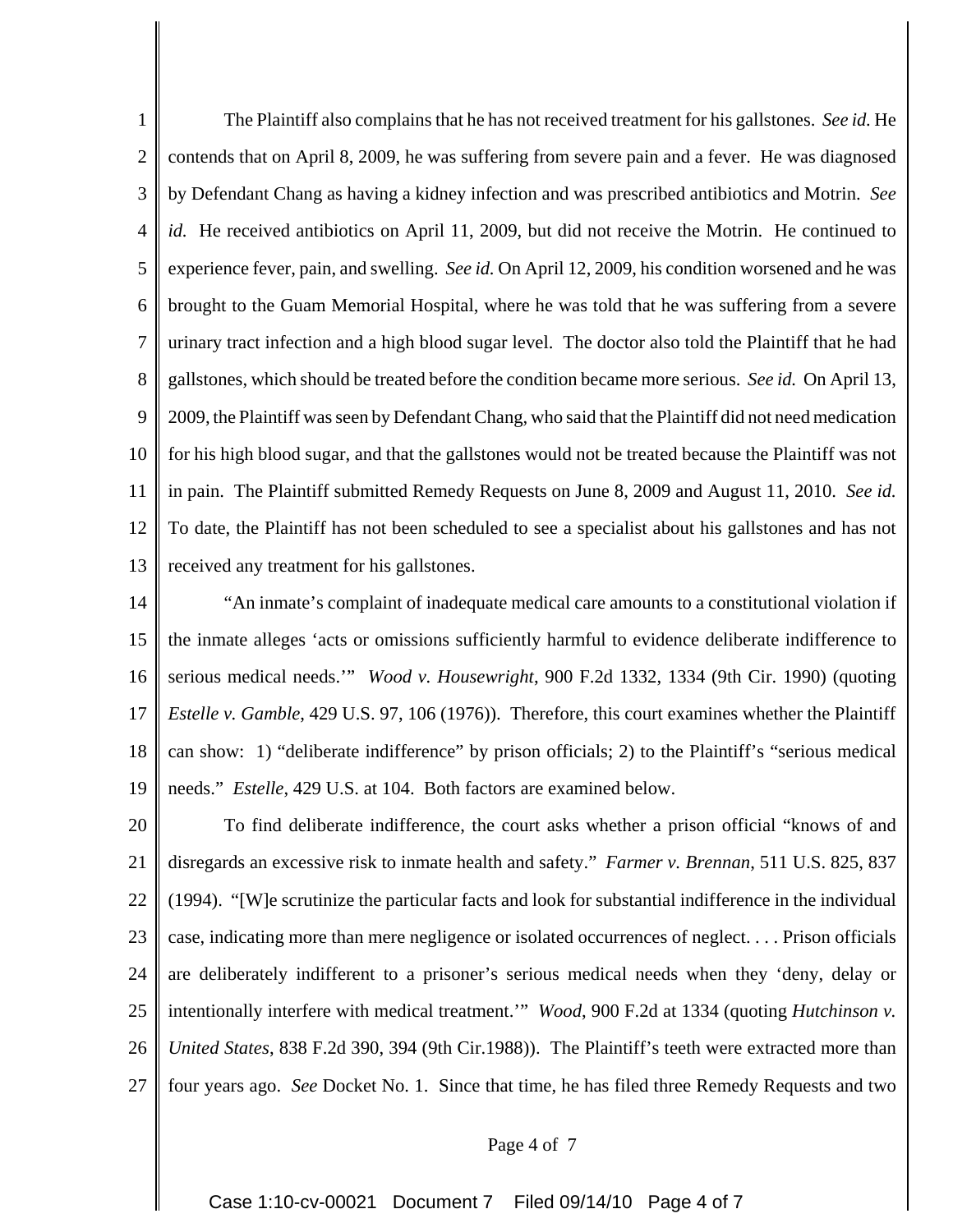1 2 3 4 5 6 7 8 9 10 11 12 13 The Plaintiff also complains that he has not received treatment for his gallstones. *See id.* He contends that on April 8, 2009, he was suffering from severe pain and a fever. He was diagnosed by Defendant Chang as having a kidney infection and was prescribed antibiotics and Motrin. *See id.* He received antibiotics on April 11, 2009, but did not receive the Motrin. He continued to experience fever, pain, and swelling. *See id.* On April 12, 2009, his condition worsened and he was brought to the Guam Memorial Hospital, where he was told that he was suffering from a severe urinary tract infection and a high blood sugar level. The doctor also told the Plaintiff that he had gallstones, which should be treated before the condition became more serious. *See id.* On April 13, 2009, the Plaintiff was seen by Defendant Chang, who said that the Plaintiff did not need medication for his high blood sugar, and that the gallstones would not be treated because the Plaintiff was not in pain. The Plaintiff submitted Remedy Requests on June 8, 2009 and August 11, 2010. *See id.* To date, the Plaintiff has not been scheduled to see a specialist about his gallstones and has not received any treatment for his gallstones.

14 15 16 17 18 19 "An inmate's complaint of inadequate medical care amounts to a constitutional violation if the inmate alleges 'acts or omissions sufficiently harmful to evidence deliberate indifference to serious medical needs.'" *Wood v. Housewright*, 900 F.2d 1332, 1334 (9th Cir. 1990) (quoting *Estelle v. Gamble*, 429 U.S. 97, 106 (1976)). Therefore, this court examines whether the Plaintiff can show: 1) "deliberate indifference" by prison officials; 2) to the Plaintiff's "serious medical needs." *Estelle*, 429 U.S. at 104. Both factors are examined below.

20 21 22 23 24 25 26 27 To find deliberate indifference, the court asks whether a prison official "knows of and disregards an excessive risk to inmate health and safety." *Farmer v. Brennan*, 511 U.S. 825, 837 (1994). "[W]e scrutinize the particular facts and look for substantial indifference in the individual case, indicating more than mere negligence or isolated occurrences of neglect. . . . Prison officials are deliberately indifferent to a prisoner's serious medical needs when they 'deny, delay or intentionally interfere with medical treatment.'" *Wood*, 900 F.2d at 1334 (quoting *Hutchinson v. United States*, 838 F.2d 390, 394 (9th Cir.1988)). The Plaintiff's teeth were extracted more than four years ago. *See* Docket No. 1. Since that time, he has filed three Remedy Requests and two

#### Page 4 of 7

Case 1:10-cv-00021 Document 7 Filed 09/14/10 Page 4 of 7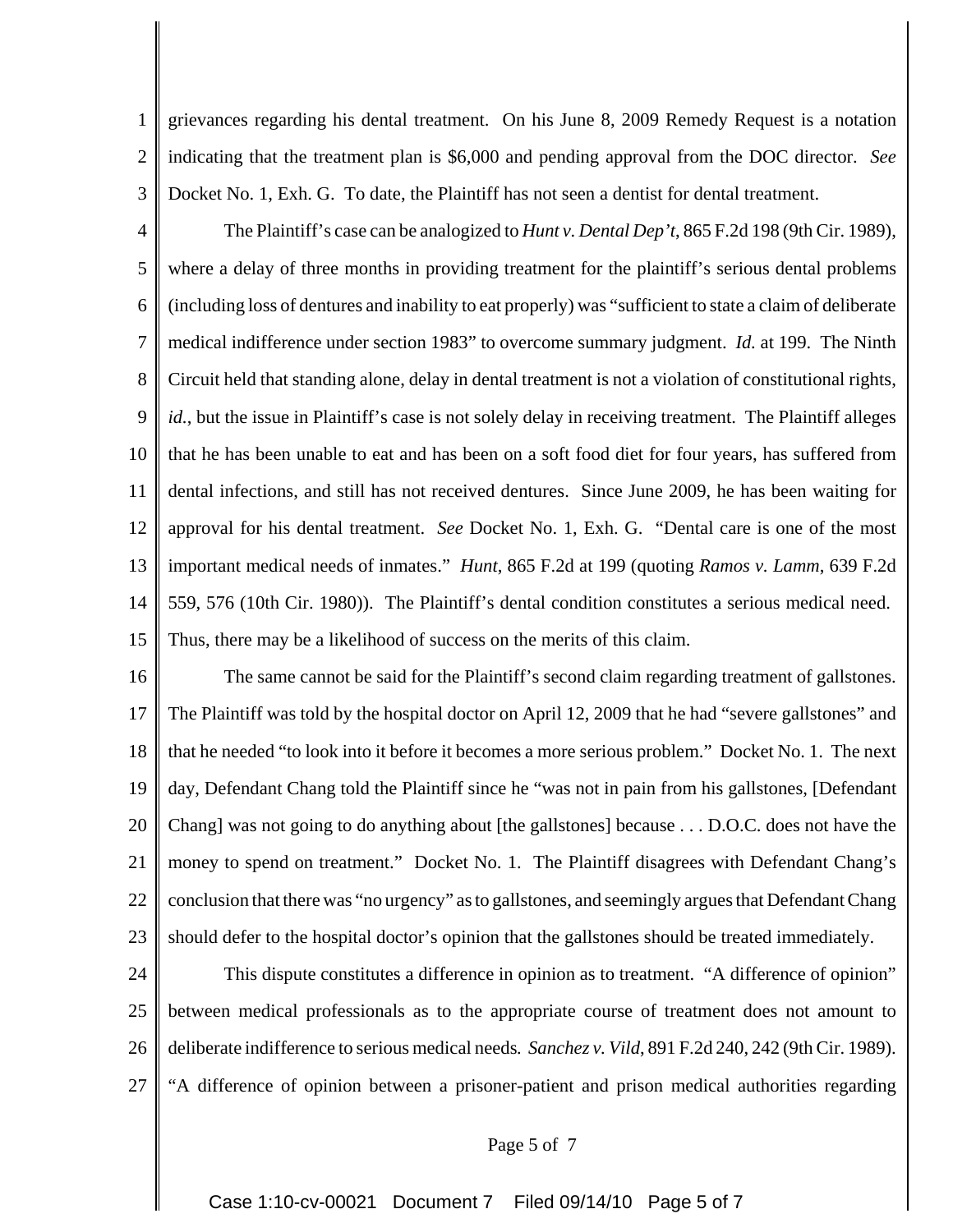1 2 3 grievances regarding his dental treatment. On his June 8, 2009 Remedy Request is a notation indicating that the treatment plan is \$6,000 and pending approval from the DOC director. *See* Docket No. 1, Exh. G. To date, the Plaintiff has not seen a dentist for dental treatment.

4 5 6 7 8 9 10 11 12 13 14 15 The Plaintiff's case can be analogized to *Hunt v. Dental Dep't*, 865 F.2d 198 (9th Cir. 1989), where a delay of three months in providing treatment for the plaintiff's serious dental problems (including loss of dentures and inability to eat properly) was "sufficient to state a claim of deliberate medical indifference under section 1983" to overcome summary judgment. *Id.* at 199. The Ninth Circuit held that standing alone, delay in dental treatment is not a violation of constitutional rights, *id.*, but the issue in Plaintiff's case is not solely delay in receiving treatment. The Plaintiff alleges that he has been unable to eat and has been on a soft food diet for four years, has suffered from dental infections, and still has not received dentures. Since June 2009, he has been waiting for approval for his dental treatment. *See* Docket No. 1, Exh. G. "Dental care is one of the most important medical needs of inmates." *Hunt*, 865 F.2d at 199 (quoting *Ramos v. Lamm*, 639 F.2d 559, 576 (10th Cir. 1980)). The Plaintiff's dental condition constitutes a serious medical need. Thus, there may be a likelihood of success on the merits of this claim.

16 17 18 19 20 21 22 23 The same cannot be said for the Plaintiff's second claim regarding treatment of gallstones. The Plaintiff was told by the hospital doctor on April 12, 2009 that he had "severe gallstones" and that he needed "to look into it before it becomes a more serious problem." Docket No. 1. The next day, Defendant Chang told the Plaintiff since he "was not in pain from his gallstones, [Defendant Chang] was not going to do anything about [the gallstones] because . . . D.O.C. does not have the money to spend on treatment." Docket No. 1. The Plaintiff disagrees with Defendant Chang's conclusion that there was "no urgency" as to gallstones, and seemingly argues that Defendant Chang should defer to the hospital doctor's opinion that the gallstones should be treated immediately.

24 25 26 27 This dispute constitutes a difference in opinion as to treatment. "A difference of opinion" between medical professionals as to the appropriate course of treatment does not amount to deliberate indifference to serious medical needs*. Sanchez v. Vild*, 891 F.2d 240, 242 (9th Cir. 1989). "A difference of opinion between a prisoner-patient and prison medical authorities regarding

#### Page 5 of 7

Case 1:10-cv-00021 Document 7 Filed 09/14/10 Page 5 of 7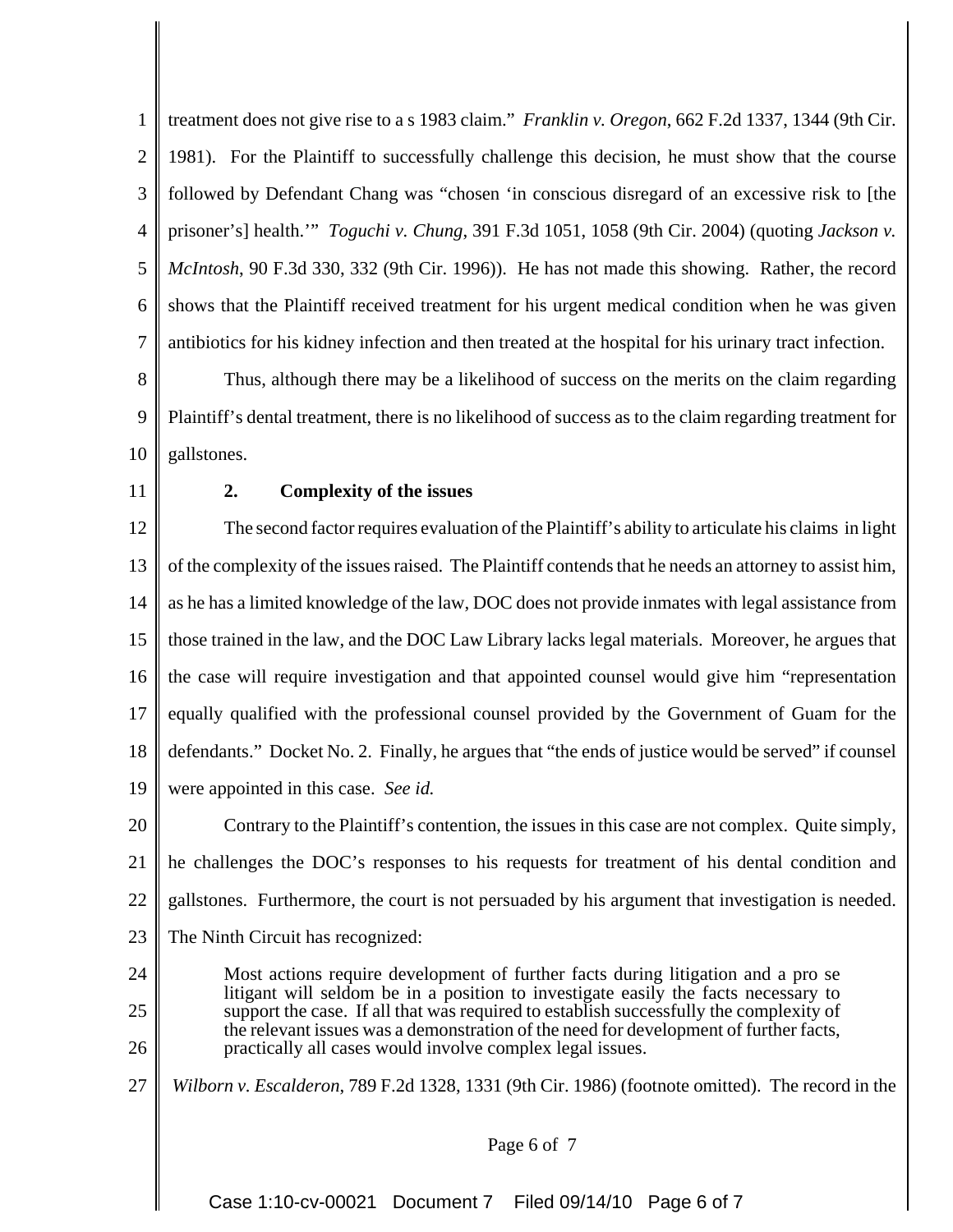1 2 3 4 5 6 7 treatment does not give rise to a s 1983 claim." *Franklin v. Oregon*, 662 F.2d 1337, 1344 (9th Cir. 1981). For the Plaintiff to successfully challenge this decision, he must show that the course followed by Defendant Chang was "chosen 'in conscious disregard of an excessive risk to [the prisoner's] health.'" *Toguchi v. Chung*, 391 F.3d 1051, 1058 (9th Cir. 2004) (quoting *Jackson v. McIntosh*, 90 F.3d 330, 332 (9th Cir. 1996)). He has not made this showing. Rather, the record shows that the Plaintiff received treatment for his urgent medical condition when he was given antibiotics for his kidney infection and then treated at the hospital for his urinary tract infection.

8 9 10 Thus, although there may be a likelihood of success on the merits on the claim regarding Plaintiff's dental treatment, there is no likelihood of success as to the claim regarding treatment for gallstones.

11

## **2. Complexity of the issues**

12 13 14 15 16 17 18 19 The second factor requires evaluation of the Plaintiff's ability to articulate his claims in light of the complexity of the issues raised. The Plaintiff contends that he needs an attorney to assist him, as he has a limited knowledge of the law, DOC does not provide inmates with legal assistance from those trained in the law, and the DOC Law Library lacks legal materials. Moreover, he argues that the case will require investigation and that appointed counsel would give him "representation equally qualified with the professional counsel provided by the Government of Guam for the defendants." Docket No. 2. Finally, he argues that "the ends of justice would be served" if counsel were appointed in this case. *See id.*

20 21 22 23 Contrary to the Plaintiff's contention, the issues in this case are not complex. Quite simply, he challenges the DOC's responses to his requests for treatment of his dental condition and gallstones. Furthermore, the court is not persuaded by his argument that investigation is needed. The Ninth Circuit has recognized:

- 24 25 26 Most actions require development of further facts during litigation and a pro se litigant will seldom be in a position to investigate easily the facts necessary to support the case. If all that was required to establish successfully the complexity of the relevant issues was a demonstration of the need for development of further facts, practically all cases would involve complex legal issues.
- 27 *Wilborn v. Escalderon*, 789 F.2d 1328, 1331 (9th Cir. 1986) (footnote omitted). The record in the

#### Page 6 of 7

Case 1:10-cv-00021 Document 7 Filed 09/14/10 Page 6 of 7